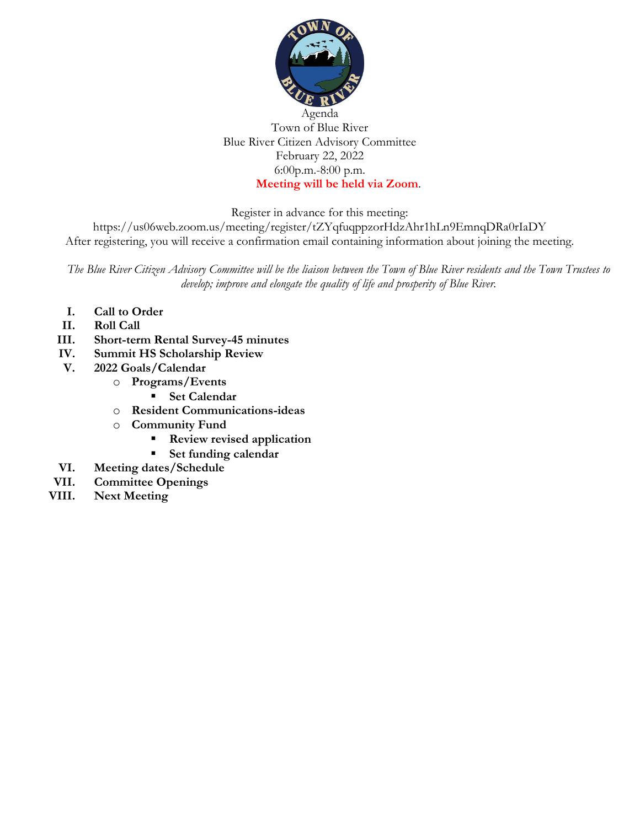

#### Agenda Town of Blue River Blue River Citizen Advisory Committee February 22, 2022 6:00p.m.-8:00 p.m. **Meeting will be held via Zoom**.

Register in advance for this meeting:

https://us06web.zoom.us/meeting/register/tZYqfuqppzorHdzAhr1hLn9EmnqDRa0rIaDY After registering, you will receive a confirmation email containing information about joining the meeting.

*The Blue River Citizen Advisory Committee will be the liaison between the Town of Blue River residents and the Town Trustees to develop; improve and elongate the quality of life and prosperity of Blue River.*

- **I. Call to Order**
- **II. Roll Call**
- **III. Short-term Rental Survey-45 minutes**
- **IV. Summit HS Scholarship Review**
- **V. 2022 Goals/Calendar**
	- o **Programs/Events**
		- **Set Calendar**
	- o **Resident Communications-ideas**
	- o **Community Fund**
		- **Review revised application**
		- **Set funding calendar**
- **VI. Meeting dates/Schedule**
- **VII. Committee Openings**
- **VIII. Next Meeting**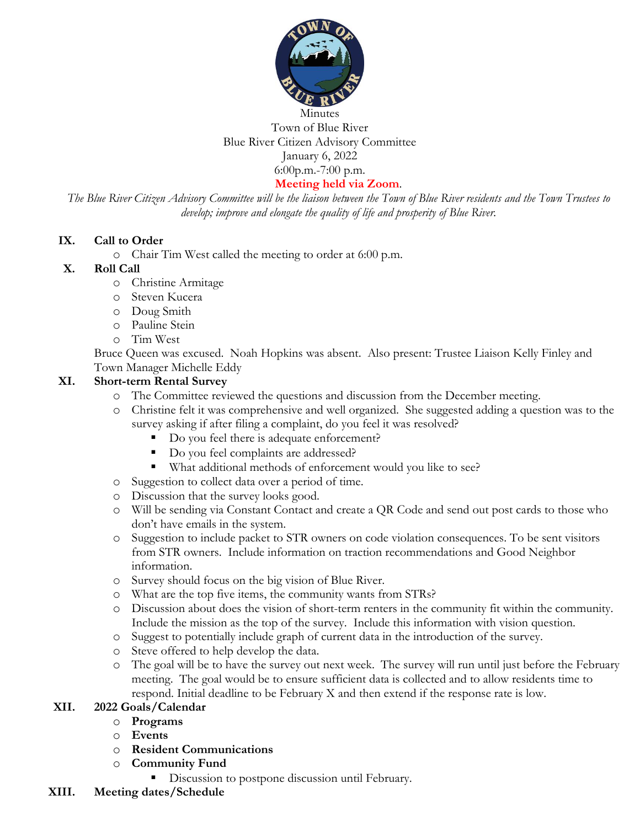

# Town of Blue River Blue River Citizen Advisory Committee January 6, 2022 6:00p.m.-7:00 p.m.

**Meeting held via Zoom**.

*The Blue River Citizen Advisory Committee will be the liaison between the Town of Blue River residents and the Town Trustees to develop; improve and elongate the quality of life and prosperity of Blue River.*

## **IX. Call to Order**

o Chair Tim West called the meeting to order at 6:00 p.m.

#### **X. Roll Call**

- o Christine Armitage
- o Steven Kucera
- o Doug Smith
- o Pauline Stein
- o Tim West

Bruce Queen was excused. Noah Hopkins was absent. Also present: Trustee Liaison Kelly Finley and Town Manager Michelle Eddy

## **XI. Short-term Rental Survey**

- o The Committee reviewed the questions and discussion from the December meeting.
- o Christine felt it was comprehensive and well organized. She suggested adding a question was to the survey asking if after filing a complaint, do you feel it was resolved?
	- Do you feel there is adequate enforcement?
	- Do you feel complaints are addressed?
	- What additional methods of enforcement would you like to see?
- o Suggestion to collect data over a period of time.
- o Discussion that the survey looks good.
- o Will be sending via Constant Contact and create a QR Code and send out post cards to those who don't have emails in the system.
- o Suggestion to include packet to STR owners on code violation consequences. To be sent visitors from STR owners. Include information on traction recommendations and Good Neighbor information.
- o Survey should focus on the big vision of Blue River.
- o What are the top five items, the community wants from STRs?
- o Discussion about does the vision of short-term renters in the community fit within the community. Include the mission as the top of the survey. Include this information with vision question.
- o Suggest to potentially include graph of current data in the introduction of the survey.
- o Steve offered to help develop the data.
- o The goal will be to have the survey out next week. The survey will run until just before the February meeting. The goal would be to ensure sufficient data is collected and to allow residents time to respond. Initial deadline to be February X and then extend if the response rate is low.

#### **XII. 2022 Goals/Calendar**

- o **Programs**
- o **Events**
- o **Resident Communications**
- o **Community Fund**
	- Discussion to postpone discussion until February.
- **XIII. Meeting dates/Schedule**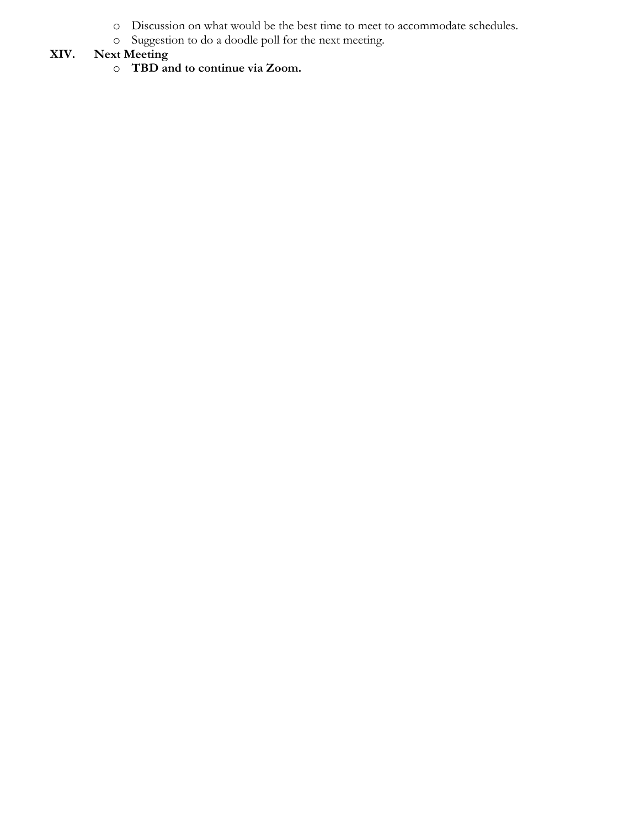- o Discussion on what would be the best time to meet to accommodate schedules.
- o Suggestion to do a doodle poll for the next meeting.

# **XIV. Next Meeting**

o **TBD and to continue via Zoom.**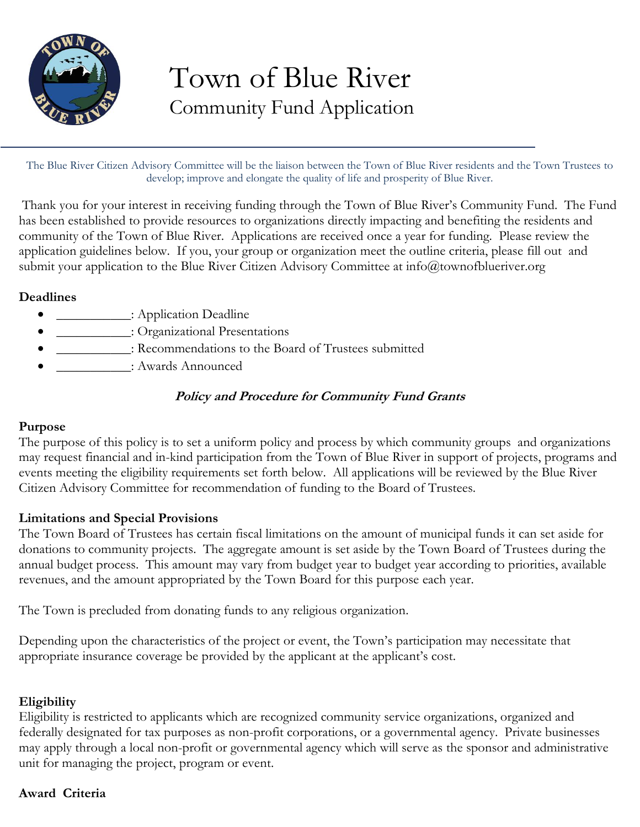

# Town of Blue River Community Fund Application

The Blue River Citizen Advisory Committee will be the liaison between the Town of Blue River residents and the Town Trustees to develop; improve and elongate the quality of life and prosperity of Blue River.

Thank you for your interest in receiving funding through the Town of Blue River's Community Fund. The Fund has been established to provide resources to organizations directly impacting and benefiting the residents and community of the Town of Blue River. Applications are received once a year for funding. Please review the application guidelines below. If you, your group or organization meet the outline criteria, please fill out and submit your application to the Blue River Citizen Advisory Committee at info@townofblueriver.org

# **Deadlines**

- Application Deadline: Application Deadline
- \_\_\_\_\_\_\_\_\_\_\_: Organizational Presentations
- \_\_\_\_\_\_\_\_\_\_\_: Recommendations to the Board of Trustees submitted
- : Awards Announced

# **Policy and Procedure for Community Fund Grants**

#### **Purpose**

The purpose of this policy is to set a uniform policy and process by which community groups and organizations may request financial and in-kind participation from the Town of Blue River in support of projects, programs and events meeting the eligibility requirements set forth below. All applications will be reviewed by the Blue River Citizen Advisory Committee for recommendation of funding to the Board of Trustees.

## **Limitations and Special Provisions**

The Town Board of Trustees has certain fiscal limitations on the amount of municipal funds it can set aside for donations to community projects. The aggregate amount is set aside by the Town Board of Trustees during the annual budget process. This amount may vary from budget year to budget year according to priorities, available revenues, and the amount appropriated by the Town Board for this purpose each year.

The Town is precluded from donating funds to any religious organization.

Depending upon the characteristics of the project or event, the Town's participation may necessitate that appropriate insurance coverage be provided by the applicant at the applicant's cost.

## **Eligibility**

Eligibility is restricted to applicants which are recognized community service organizations, organized and federally designated for tax purposes as non-profit corporations, or a governmental agency. Private businesses may apply through a local non-profit or governmental agency which will serve as the sponsor and administrative unit for managing the project, program or event.

## **Award Criteria**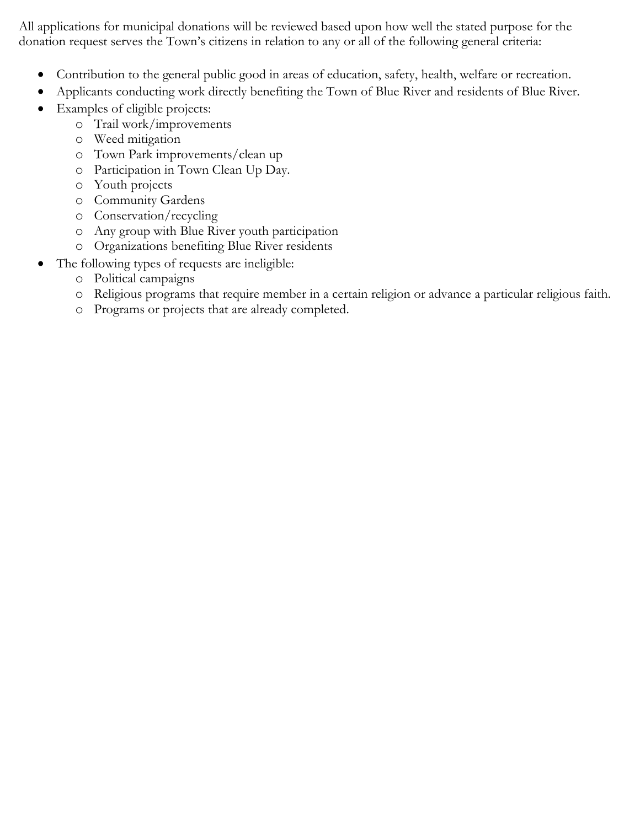All applications for municipal donations will be reviewed based upon how well the stated purpose for the donation request serves the Town's citizens in relation to any or all of the following general criteria:

- Contribution to the general public good in areas of education, safety, health, welfare or recreation.
- Applicants conducting work directly benefiting the Town of Blue River and residents of Blue River.
- Examples of eligible projects:
	- o Trail work/improvements
	- o Weed mitigation
	- o Town Park improvements/clean up
	- o Participation in Town Clean Up Day.
	- o Youth projects
	- o Community Gardens
	- o Conservation/recycling
	- o Any group with Blue River youth participation
	- o Organizations benefiting Blue River residents
- The following types of requests are ineligible:
	- o Political campaigns
	- o Religious programs that require member in a certain religion or advance a particular religious faith.
	- o Programs or projects that are already completed.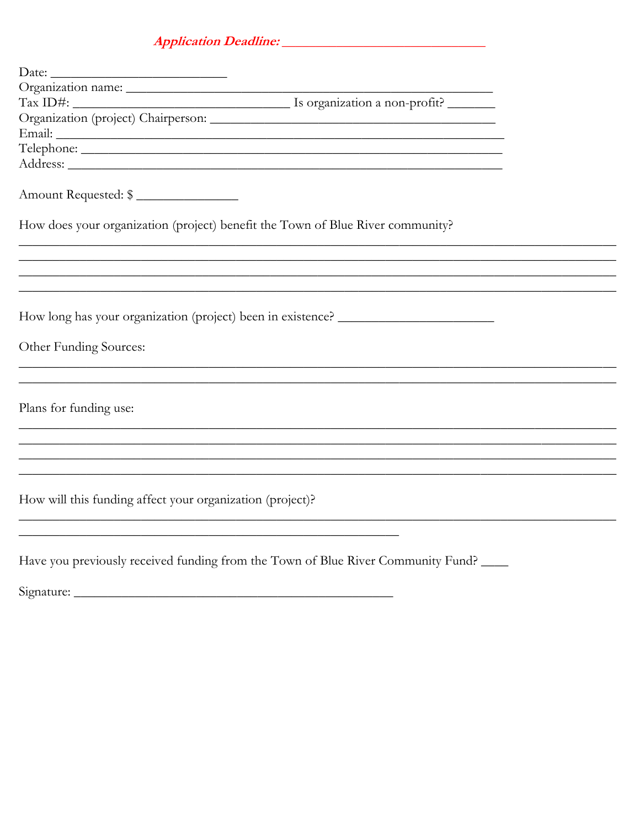# 

| $\text{Tax ID#:}$                                                                                                       | Is organization a non-profit?                                                     |  |
|-------------------------------------------------------------------------------------------------------------------------|-----------------------------------------------------------------------------------|--|
|                                                                                                                         |                                                                                   |  |
|                                                                                                                         |                                                                                   |  |
|                                                                                                                         |                                                                                   |  |
|                                                                                                                         |                                                                                   |  |
| Amount Requested: \$                                                                                                    |                                                                                   |  |
|                                                                                                                         | How does your organization (project) benefit the Town of Blue River community?    |  |
|                                                                                                                         |                                                                                   |  |
|                                                                                                                         | ,我们也不能在这里的时候,我们也不能在这里的时候,我们也不能会不能会不能会不能会不能会不能会不能会不能会不能会不能会。""我们的是,我们也不能会不能会不能会不能  |  |
|                                                                                                                         | How long has your organization (project) been in existence? _____________________ |  |
| Other Funding Sources:                                                                                                  |                                                                                   |  |
|                                                                                                                         |                                                                                   |  |
| Plans for funding use:                                                                                                  |                                                                                   |  |
|                                                                                                                         |                                                                                   |  |
|                                                                                                                         |                                                                                   |  |
| How will this funding affect your organization (project)?<br><u> 1989 - Johann Stoff, amerikansk politiker (* 1908)</u> |                                                                                   |  |
|                                                                                                                         |                                                                                   |  |
|                                                                                                                         | Have you previously received funding from the Town of Blue River Community Fund?  |  |
|                                                                                                                         |                                                                                   |  |